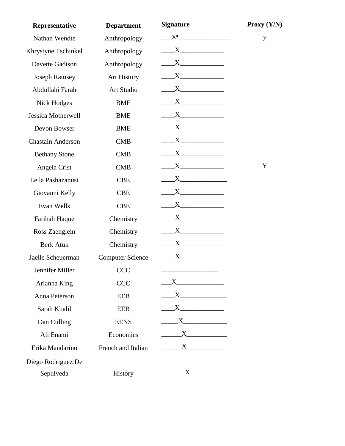| Representative           | <b>Department</b>       | <b>Signature</b>                                                                                                                                                                                                                                                                                                                                                                                                                                              | Proxy (Y/N) |
|--------------------------|-------------------------|---------------------------------------------------------------------------------------------------------------------------------------------------------------------------------------------------------------------------------------------------------------------------------------------------------------------------------------------------------------------------------------------------------------------------------------------------------------|-------------|
| Nathan Wendte            | Anthropology            | $X$ <sup><math>\parallel</math></sup>                                                                                                                                                                                                                                                                                                                                                                                                                         | y           |
| Khrystyne Tschinkel      | Anthropology            |                                                                                                                                                                                                                                                                                                                                                                                                                                                               |             |
| Davette Gadison          | Anthropology            |                                                                                                                                                                                                                                                                                                                                                                                                                                                               |             |
| <b>Joseph Ramsey</b>     | Art History             |                                                                                                                                                                                                                                                                                                                                                                                                                                                               |             |
| Abdullahi Farah          | Art Studio              | $\mathbf{X}$                                                                                                                                                                                                                                                                                                                                                                                                                                                  |             |
| <b>Nick Hodges</b>       | <b>BME</b>              | X                                                                                                                                                                                                                                                                                                                                                                                                                                                             |             |
| Jessica Motherwell       | <b>BME</b>              | $\begin{array}{c} \begin{array}{c} \text{---} \end{array} \text{X} \end{array}$                                                                                                                                                                                                                                                                                                                                                                               |             |
| Devon Bowser             | <b>BME</b>              |                                                                                                                                                                                                                                                                                                                                                                                                                                                               |             |
| <b>Chastain Anderson</b> | <b>CMB</b>              | $\mathbf{X}$ and $\mathbf{X}$ and $\mathbf{X}$ and $\mathbf{X}$                                                                                                                                                                                                                                                                                                                                                                                               |             |
| <b>Bethany Stone</b>     | <b>CMB</b>              | $\overline{X}$ $\overline{X}$ $\overline{X}$ $\overline{X}$ $\overline{X}$ $\overline{X}$ $\overline{X}$ $\overline{X}$ $\overline{X}$ $\overline{X}$ $\overline{X}$ $\overline{X}$ $\overline{X}$ $\overline{X}$ $\overline{X}$ $\overline{X}$ $\overline{X}$ $\overline{X}$ $\overline{X}$ $\overline{X}$ $\overline{X}$ $\overline{X}$ $\overline{X}$ $\overline{X}$ $\overline{$                                                                          |             |
| Angela Crist             | <b>CMB</b>              | $\overline{\mathbf{X}}$ $\overline{\mathbf{X}}$ $\overline{\mathbf{X}}$ $\overline{\mathbf{X}}$ $\overline{\mathbf{X}}$ $\overline{\mathbf{X}}$ $\overline{\mathbf{X}}$ $\overline{\mathbf{X}}$ $\overline{\mathbf{X}}$ $\overline{\mathbf{X}}$ $\overline{\mathbf{X}}$ $\overline{\mathbf{X}}$ $\overline{\mathbf{X}}$ $\overline{\mathbf{X}}$ $\overline{\mathbf{X}}$ $\overline{\mathbf{X}}$ $\overline{\mathbf{X}}$ $\overline{\mathbf{X}}$ $\overline{\$ | Y           |
| Leila Pashazanusi        | <b>CBE</b>              | $\mathbf{X}$ $\mathbf{X}$                                                                                                                                                                                                                                                                                                                                                                                                                                     |             |
| Giovanni Kelly           | <b>CBE</b>              | X                                                                                                                                                                                                                                                                                                                                                                                                                                                             |             |
| Evan Wells               | <b>CBE</b>              |                                                                                                                                                                                                                                                                                                                                                                                                                                                               |             |
| Farihah Haque            | Chemistry               |                                                                                                                                                                                                                                                                                                                                                                                                                                                               |             |
| Ross Zaenglein           | Chemistry               | $\mathbf{X}$ $\mathbf{X}$                                                                                                                                                                                                                                                                                                                                                                                                                                     |             |
| <b>Berk Atuk</b>         | Chemistry               | $\overline{X}$ $\overline{X}$ $\overline{X}$ $\overline{X}$ $\overline{X}$ $\overline{X}$ $\overline{X}$ $\overline{X}$ $\overline{X}$ $\overline{X}$ $\overline{X}$ $\overline{X}$ $\overline{X}$ $\overline{X}$ $\overline{X}$ $\overline{X}$ $\overline{X}$ $\overline{X}$ $\overline{X}$ $\overline{X}$ $\overline{X}$ $\overline{X}$ $\overline{X}$ $\overline{X}$ $\overline{$                                                                          |             |
| Jaelle Scheuerman        | <b>Computer Science</b> | $\begin{array}{c}\nX\n\end{array}$                                                                                                                                                                                                                                                                                                                                                                                                                            |             |
| Jennifer Miller          | <b>CCC</b>              |                                                                                                                                                                                                                                                                                                                                                                                                                                                               |             |
| Arianna King             | <b>CCC</b>              |                                                                                                                                                                                                                                                                                                                                                                                                                                                               |             |
| Anna Peterson            | <b>EEB</b>              | $\overline{X}$                                                                                                                                                                                                                                                                                                                                                                                                                                                |             |
| Sarah Khalil             | <b>EEB</b>              | $X$ and $X$ and $X$ and $X$ and $X$ and $X$ and $X$ and $X$ and $X$ and $X$ and $X$ and $X$ and $X$ and $X$ and $X$ and $X$ and $X$ and $X$ and $X$ and $X$ and $X$ and $X$ and $X$ and $X$ and $X$ and $X$ and $X$ and $X$ a                                                                                                                                                                                                                                 |             |
| Dan Culling              | <b>EENS</b>             |                                                                                                                                                                                                                                                                                                                                                                                                                                                               |             |
| Ali Enami                | Economics               | $\overline{X}$                                                                                                                                                                                                                                                                                                                                                                                                                                                |             |
| Erika Mandarino          | French and Italian      | $\begin{array}{c}\nX\n\end{array}$                                                                                                                                                                                                                                                                                                                                                                                                                            |             |
| Diego Rodriguez De       |                         |                                                                                                                                                                                                                                                                                                                                                                                                                                                               |             |
| Sepulveda                | History                 | $X$ and $X$                                                                                                                                                                                                                                                                                                                                                                                                                                                   |             |
|                          |                         |                                                                                                                                                                                                                                                                                                                                                                                                                                                               |             |